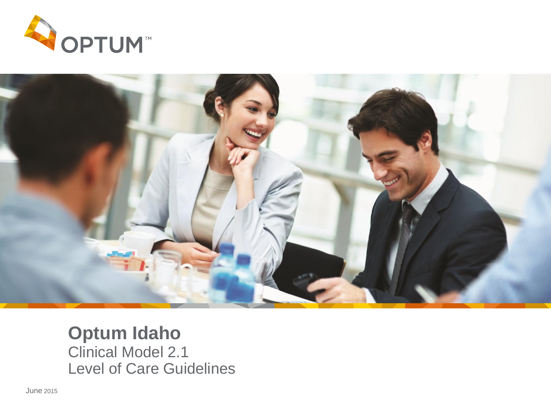



### **Optum Idaho** Clinical Model 2.1

Level of Care Guidelines

June 2015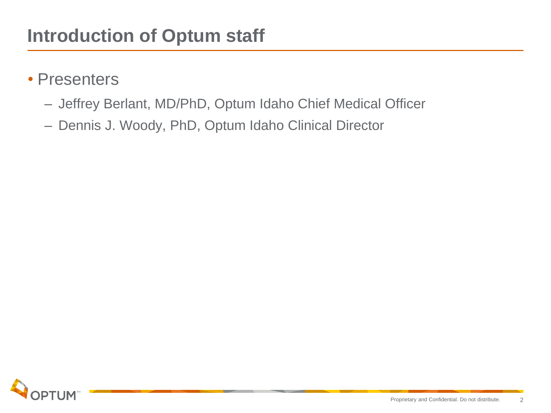- Presenters
	- Jeffrey Berlant, MD/PhD, Optum Idaho Chief Medical Officer
	- Dennis J. Woody, PhD, Optum Idaho Clinical Director

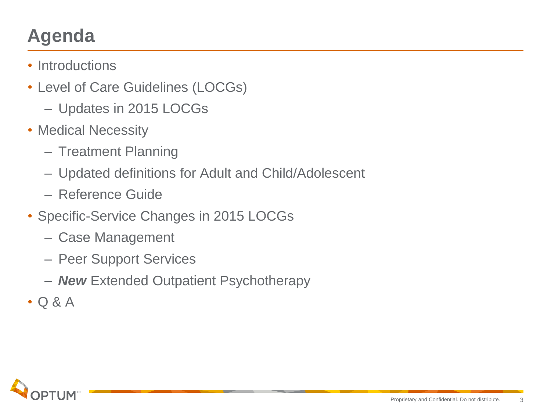## **Agenda**

- Introductions
- Level of Care Guidelines (LOCGs)
	- Updates in 2015 LOCGs
- Medical Necessity
	- Treatment Planning
	- Updated definitions for Adult and Child/Adolescent
	- Reference Guide
- Specific-Service Changes in 2015 LOCGs
	- Case Management
	- Peer Support Services
	- *New* Extended Outpatient Psychotherapy
- Q & A

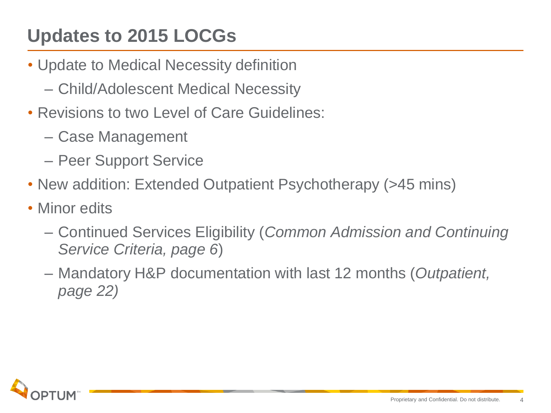## **Updates to 2015 LOCGs**

- Update to Medical Necessity definition
	- Child/Adolescent Medical Necessity
- Revisions to two Level of Care Guidelines:
	- Case Management
	- Peer Support Service
- New addition: Extended Outpatient Psychotherapy (>45 mins)
- Minor edits
	- Continued Services Eligibility (*Common Admission and Continuing Service Criteria, page 6*)
	- Mandatory H&P documentation with last 12 months (*Outpatient, page 22)*

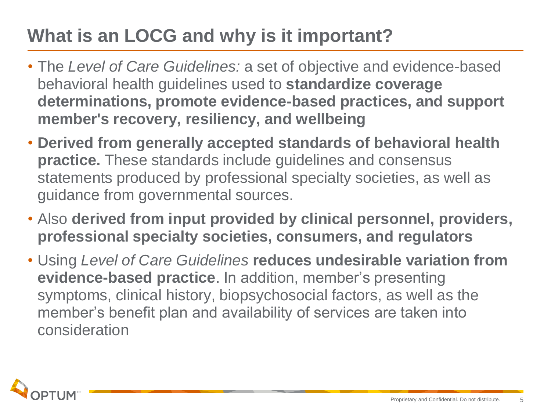## **What is an LOCG and why is it important?**

- The *Level of Care Guidelines:* a set of objective and evidence-based behavioral health guidelines used to **standardize coverage determinations, promote evidence-based practices, and support member's recovery, resiliency, and wellbeing**
- **Derived from generally accepted standards of behavioral health practice.** These standards include guidelines and consensus statements produced by professional specialty societies, as well as guidance from governmental sources.
- Also **derived from input provided by clinical personnel, providers, professional specialty societies, consumers, and regulators**
- Using *Level of Care Guidelines* **reduces undesirable variation from evidence-based practice**. In addition, member's presenting symptoms, clinical history, biopsychosocial factors, as well as the member's benefit plan and availability of services are taken into consideration

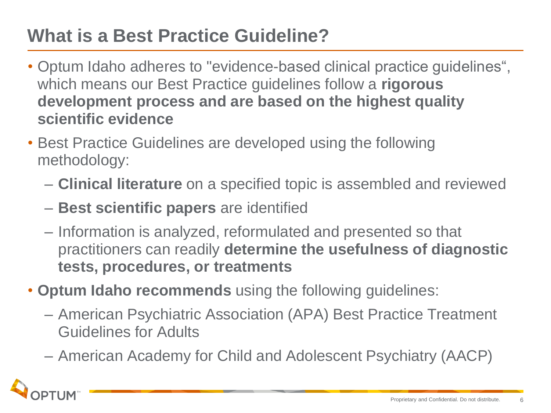### **What is a Best Practice Guideline?**

- Optum Idaho adheres to "evidence-based clinical practice guidelines", which means our Best Practice guidelines follow a **rigorous development process and are based on the highest quality scientific evidence**
- Best Practice Guidelines are developed using the following methodology:
	- **Clinical literature** on a specified topic is assembled and reviewed
	- **Best scientific papers** are identified
	- Information is analyzed, reformulated and presented so that practitioners can readily **determine the usefulness of diagnostic tests, procedures, or treatments**
- **Optum Idaho recommends** using the following guidelines:
	- American Psychiatric Association (APA) Best Practice Treatment Guidelines for Adults
	- American Academy for Child and Adolescent Psychiatry (AACP)

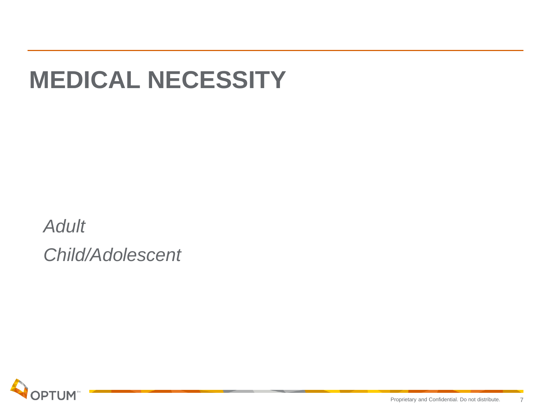# **MEDICAL NECESSITY**

*Adult Child/Adolescent*

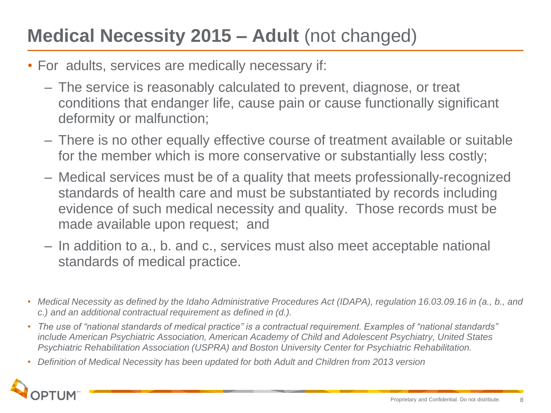### **Medical Necessity 2015 – Adult** (not changed)

- For adults, services are medically necessary if:
	- The service is reasonably calculated to prevent, diagnose, or treat conditions that endanger life, cause pain or cause functionally significant deformity or malfunction;
	- There is no other equally effective course of treatment available or suitable for the member which is more conservative or substantially less costly;
	- Medical services must be of a quality that meets professionally-recognized standards of health care and must be substantiated by records including evidence of such medical necessity and quality. Those records must be made available upon request; and
	- In addition to a., b. and c., services must also meet acceptable national standards of medical practice.
- *Medical Necessity as defined by the Idaho Administrative Procedures Act (IDAPA), regulation 16.03.09.16 in (a., b., and c.) and an additional contractual requirement as defined in (d.).*
- *The use of "national standards of medical practice" is a contractual requirement. Examples of "national standards" include American Psychiatric Association, American Academy of Child and Adolescent Psychiatry, United States Psychiatric Rehabilitation Association (USPRA) and Boston University Center for Psychiatric Rehabilitation.*
- *Definition of Medical Necessity has been updated for both Adult and Children from 2013 version*

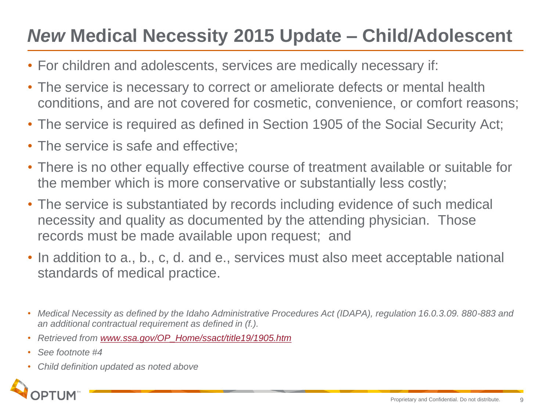### *New* **Medical Necessity 2015 Update – Child/Adolescent**

- For children and adolescents, services are medically necessary if:
- The service is necessary to correct or ameliorate defects or mental health conditions, and are not covered for cosmetic, convenience, or comfort reasons;
- The service is required as defined in Section 1905 of the Social Security Act;
- The service is safe and effective;
- There is no other equally effective course of treatment available or suitable for the member which is more conservative or substantially less costly;
- The service is substantiated by records including evidence of such medical necessity and quality as documented by the attending physician. Those records must be made available upon request; and
- In addition to a., b., c, d. and e., services must also meet acceptable national standards of medical practice.
- *Medical Necessity as defined by the Idaho Administrative Procedures Act (IDAPA), regulation 16.0.3.09. 880-883 and an additional contractual requirement as defined in (f.).*
- *Retrieved from [www.ssa.gov/OP\\_Home/ssact/title19/1905.htm](http://www.ssa.gov/OP_Home/ssact/title19/1905.htm)*
- *See footnote #4*
- *Child definition updated as noted above*

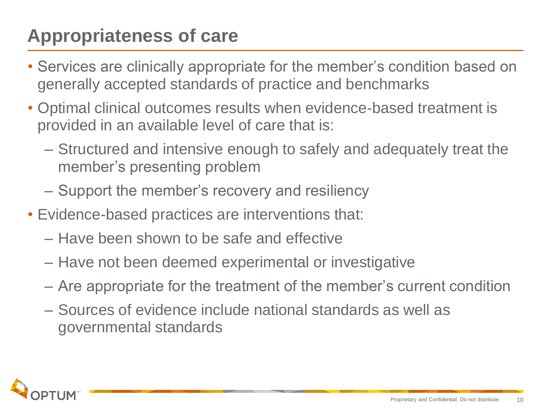### **Appropriateness of care**

- Services are clinically appropriate for the member's condition based on generally accepted standards of practice and benchmarks
- Optimal clinical outcomes results when evidence-based treatment is provided in an available level of care that is:
	- Structured and intensive enough to safely and adequately treat the member's presenting problem
	- Support the member's recovery and resiliency
- Evidence-based practices are interventions that:
	- Have been shown to be safe and effective
	- Have not been deemed experimental or investigative
	- Are appropriate for the treatment of the member's current condition
	- Sources of evidence include national standards as well as governmental standards

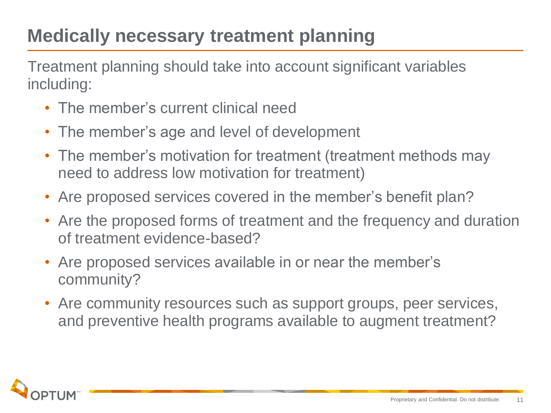### **Medically necessary treatment planning**

Treatment planning should take into account significant variables including:

- The member's current clinical need
- The member's age and level of development
- The member's motivation for treatment (treatment methods may need to address low motivation for treatment)
- Are proposed services covered in the member's benefit plan?
- Are the proposed forms of treatment and the frequency and duration of treatment evidence-based?
- Are proposed services available in or near the member's community?
- Are community resources such as support groups, peer services, and preventive health programs available to augment treatment?

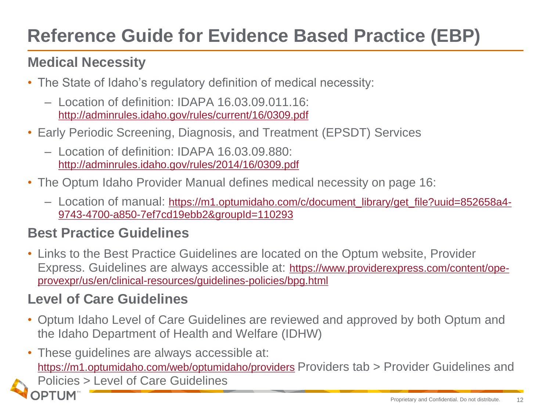### **Reference Guide for Evidence Based Practice (EBP)**

#### **Medical Necessity**

- The State of Idaho's regulatory definition of medical necessity:
	- Location of definition: IDAPA 16.03.09.011.16: <http://adminrules.idaho.gov/rules/current/16/0309.pdf>
- Early Periodic Screening, Diagnosis, and Treatment (EPSDT) Services
	- Location of definition: IDAPA 16.03.09.880: <http://adminrules.idaho.gov/rules/2014/16/0309.pdf>
- The Optum Idaho Provider Manual defines medical necessity on page 16:
	- Location of manual: [https://m1.optumidaho.com/c/document\\_library/get\\_file?uuid=852658a4-](https://m1.optumidaho.com/c/document_library/get_file?uuid=852658a4-9743-4700-a850-7ef7cd19ebb2&groupId=110293) [9743-4700-a850-7ef7cd19ebb2&groupId=110293](https://m1.optumidaho.com/c/document_library/get_file?uuid=852658a4-9743-4700-a850-7ef7cd19ebb2&groupId=110293)

#### **Best Practice Guidelines**

• Links to the Best Practice Guidelines are located on the Optum website, Provider Express. Guidelines are always accessible at: [https://www.providerexpress.com/content/ope](https://www.providerexpress.com/content/ope-provexpr/us/en/clinical-resources/guidelines-policies/bpg.html)[provexpr/us/en/clinical-resources/guidelines-policies/bpg.html](https://www.providerexpress.com/content/ope-provexpr/us/en/clinical-resources/guidelines-policies/bpg.html)

#### **Level of Care Guidelines**

PTUM

- Optum Idaho Level of Care Guidelines are reviewed and approved by both Optum and the Idaho Department of Health and Welfare (IDHW)
- These guidelines are always accessible at: <https://m1.optumidaho.com/web/optumidaho/providers> Providers tab > Provider Guidelines and Policies > Level of Care Guidelines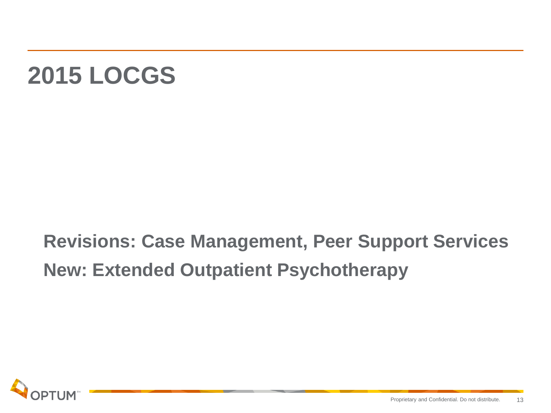# **2015 LOCGS**

**Revisions: Case Management, Peer Support Services New: Extended Outpatient Psychotherapy**

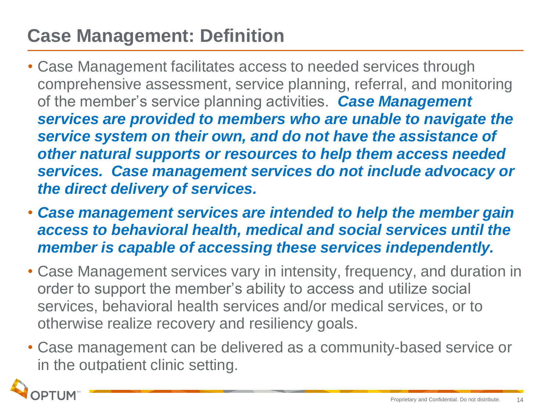### **Case Management: Definition**

- Case Management facilitates access to needed services through comprehensive assessment, service planning, referral, and monitoring of the member's service planning activities. *Case Management services are provided to members who are unable to navigate the service system on their own, and do not have the assistance of other natural supports or resources to help them access needed services. Case management services do not include advocacy or the direct delivery of services.*
- *Case management services are intended to help the member gain access to behavioral health, medical and social services until the member is capable of accessing these services independently.*
- Case Management services vary in intensity, frequency, and duration in order to support the member's ability to access and utilize social services, behavioral health services and/or medical services, or to otherwise realize recovery and resiliency goals.
- Case management can be delivered as a community-based service or in the outpatient clinic setting.

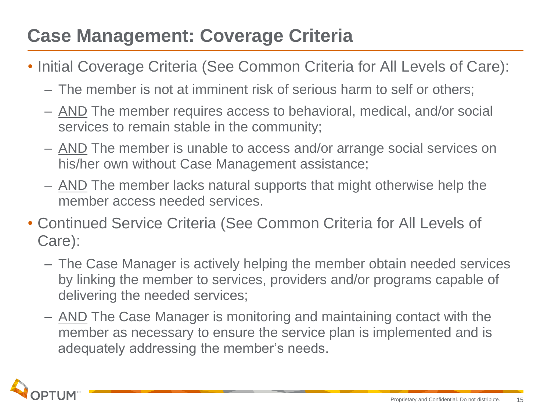### **Case Management: Coverage Criteria**

- Initial Coverage Criteria (See Common Criteria for All Levels of Care):
	- The member is not at imminent risk of serious harm to self or others;
	- AND The member requires access to behavioral, medical, and/or social services to remain stable in the community;
	- AND The member is unable to access and/or arrange social services on his/her own without Case Management assistance;
	- AND The member lacks natural supports that might otherwise help the member access needed services.
- Continued Service Criteria (See Common Criteria for All Levels of Care):
	- The Case Manager is actively helping the member obtain needed services by linking the member to services, providers and/or programs capable of delivering the needed services;
	- AND The Case Manager is monitoring and maintaining contact with the member as necessary to ensure the service plan is implemented and is adequately addressing the member's needs.

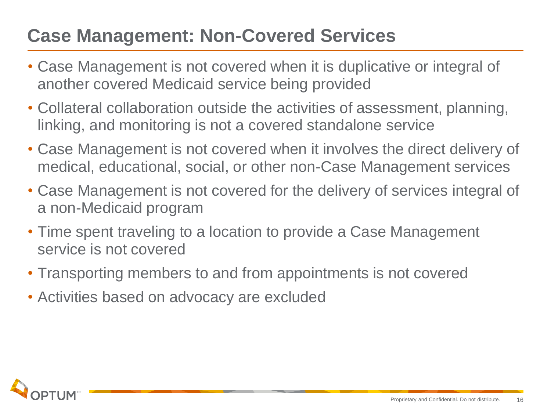### **Case Management: Non-Covered Services**

- Case Management is not covered when it is duplicative or integral of another covered Medicaid service being provided
- Collateral collaboration outside the activities of assessment, planning, linking, and monitoring is not a covered standalone service
- Case Management is not covered when it involves the direct delivery of medical, educational, social, or other non-Case Management services
- Case Management is not covered for the delivery of services integral of a non-Medicaid program
- Time spent traveling to a location to provide a Case Management service is not covered
- Transporting members to and from appointments is not covered
- Activities based on advocacy are excluded

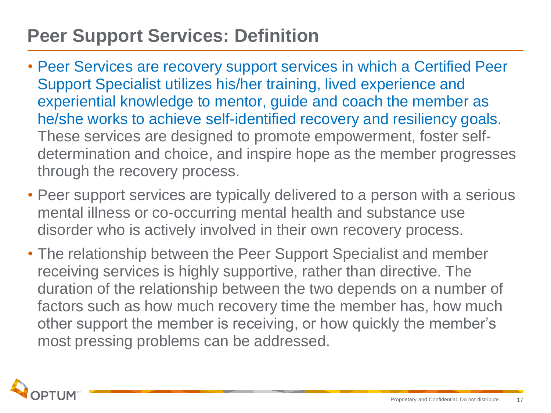### **Peer Support Services: Definition**

- Peer Services are recovery support services in which a Certified Peer Support Specialist utilizes his/her training, lived experience and experiential knowledge to mentor, guide and coach the member as he/she works to achieve self-identified recovery and resiliency goals. These services are designed to promote empowerment, foster selfdetermination and choice, and inspire hope as the member progresses through the recovery process.
- Peer support services are typically delivered to a person with a serious mental illness or co-occurring mental health and substance use disorder who is actively involved in their own recovery process.
- The relationship between the Peer Support Specialist and member receiving services is highly supportive, rather than directive. The duration of the relationship between the two depends on a number of factors such as how much recovery time the member has, how much other support the member is receiving, or how quickly the member's most pressing problems can be addressed.

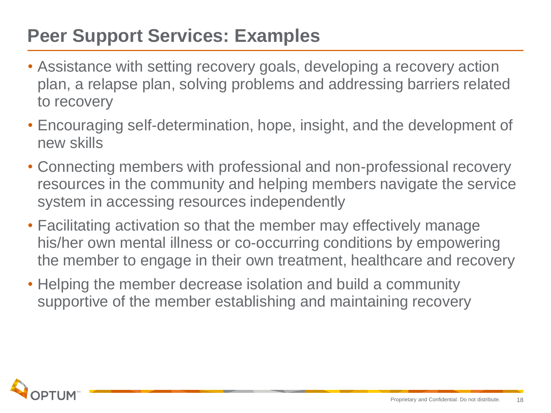### **Peer Support Services: Examples**

- Assistance with setting recovery goals, developing a recovery action plan, a relapse plan, solving problems and addressing barriers related to recovery
- Encouraging self-determination, hope, insight, and the development of new skills
- Connecting members with professional and non-professional recovery resources in the community and helping members navigate the service system in accessing resources independently
- Facilitating activation so that the member may effectively manage his/her own mental illness or co-occurring conditions by empowering the member to engage in their own treatment, healthcare and recovery
- Helping the member decrease isolation and build a community supportive of the member establishing and maintaining recovery

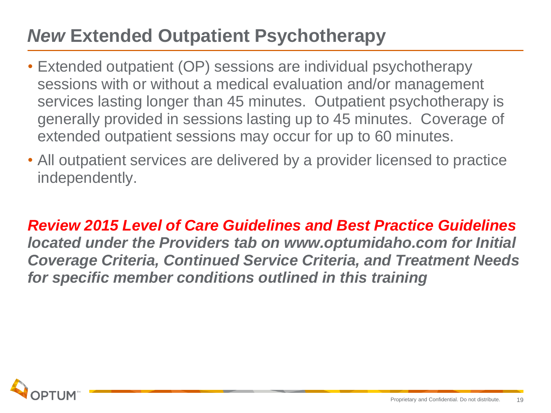### *New* **Extended Outpatient Psychotherapy**

- Extended outpatient (OP) sessions are individual psychotherapy sessions with or without a medical evaluation and/or management services lasting longer than 45 minutes. Outpatient psychotherapy is generally provided in sessions lasting up to 45 minutes. Coverage of extended outpatient sessions may occur for up to 60 minutes.
- All outpatient services are delivered by a provider licensed to practice independently.

*Review 2015 Level of Care Guidelines and Best Practice Guidelines located under the Providers tab on www.optumidaho.com for Initial Coverage Criteria, Continued Service Criteria, and Treatment Needs for specific member conditions outlined in this training*

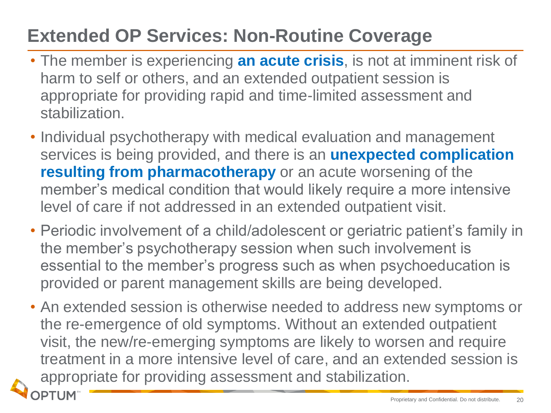### **Extended OP Services: Non-Routine Coverage**

- The member is experiencing **an acute crisis**, is not at imminent risk of harm to self or others, and an extended outpatient session is appropriate for providing rapid and time-limited assessment and stabilization.
- Individual psychotherapy with medical evaluation and management services is being provided, and there is an **unexpected complication resulting from pharmacotherapy** or an acute worsening of the member's medical condition that would likely require a more intensive level of care if not addressed in an extended outpatient visit.
- Periodic involvement of a child/adolescent or geriatric patient's family in the member's psychotherapy session when such involvement is essential to the member's progress such as when psychoeducation is provided or parent management skills are being developed.
- An extended session is otherwise needed to address new symptoms or the re-emergence of old symptoms. Without an extended outpatient visit, the new/re-emerging symptoms are likely to worsen and require treatment in a more intensive level of care, and an extended session is appropriate for providing assessment and stabilization.

**PTUM**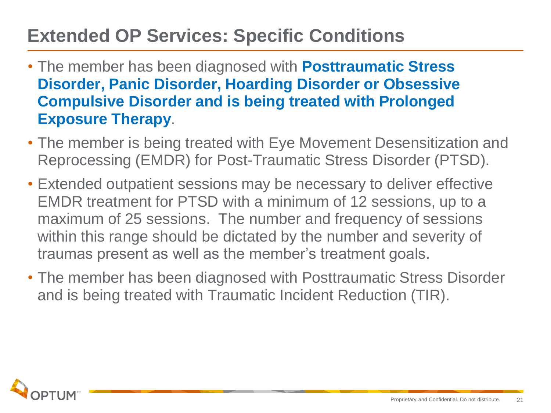### **Extended OP Services: Specific Conditions**

- The member has been diagnosed with **Posttraumatic Stress Disorder, Panic Disorder, Hoarding Disorder or Obsessive Compulsive Disorder and is being treated with Prolonged Exposure Therapy**.
- The member is being treated with Eye Movement Desensitization and Reprocessing (EMDR) for Post-Traumatic Stress Disorder (PTSD).
- Extended outpatient sessions may be necessary to deliver effective EMDR treatment for PTSD with a minimum of 12 sessions, up to a maximum of 25 sessions. The number and frequency of sessions within this range should be dictated by the number and severity of traumas present as well as the member's treatment goals.
- The member has been diagnosed with Posttraumatic Stress Disorder and is being treated with Traumatic Incident Reduction (TIR).

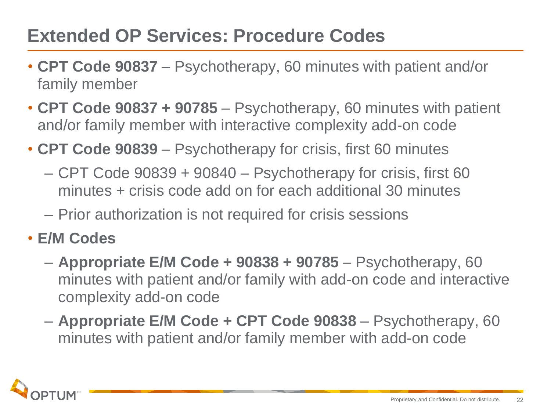### **Extended OP Services: Procedure Codes**

- **CPT Code 90837**  Psychotherapy, 60 minutes with patient and/or family member
- **CPT Code 90837 + 90785**  Psychotherapy, 60 minutes with patient and/or family member with interactive complexity add-on code
- **CPT Code 90839**  Psychotherapy for crisis, first 60 minutes
	- CPT Code 90839 + 90840 Psychotherapy for crisis, first 60 minutes + crisis code add on for each additional 30 minutes
	- Prior authorization is not required for crisis sessions
- **E/M Codes**
	- **Appropriate E/M Code + 90838 + 90785**  Psychotherapy, 60 minutes with patient and/or family with add-on code and interactive complexity add-on code
	- **Appropriate E/M Code + CPT Code 90838** Psychotherapy, 60 minutes with patient and/or family member with add-on code

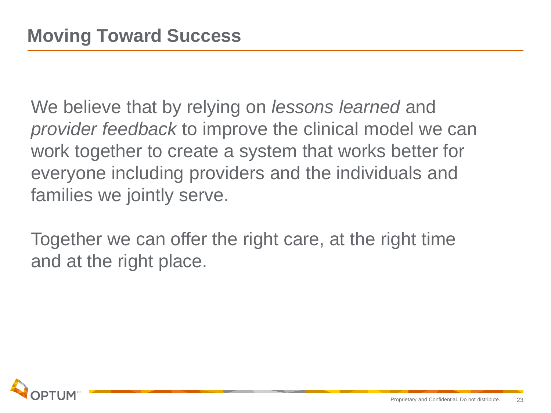We believe that by relying on *lessons learned* and *provider feedback* to improve the clinical model we can work together to create a system that works better for everyone including providers and the individuals and families we jointly serve.

Together we can offer the right care, at the right time and at the right place.